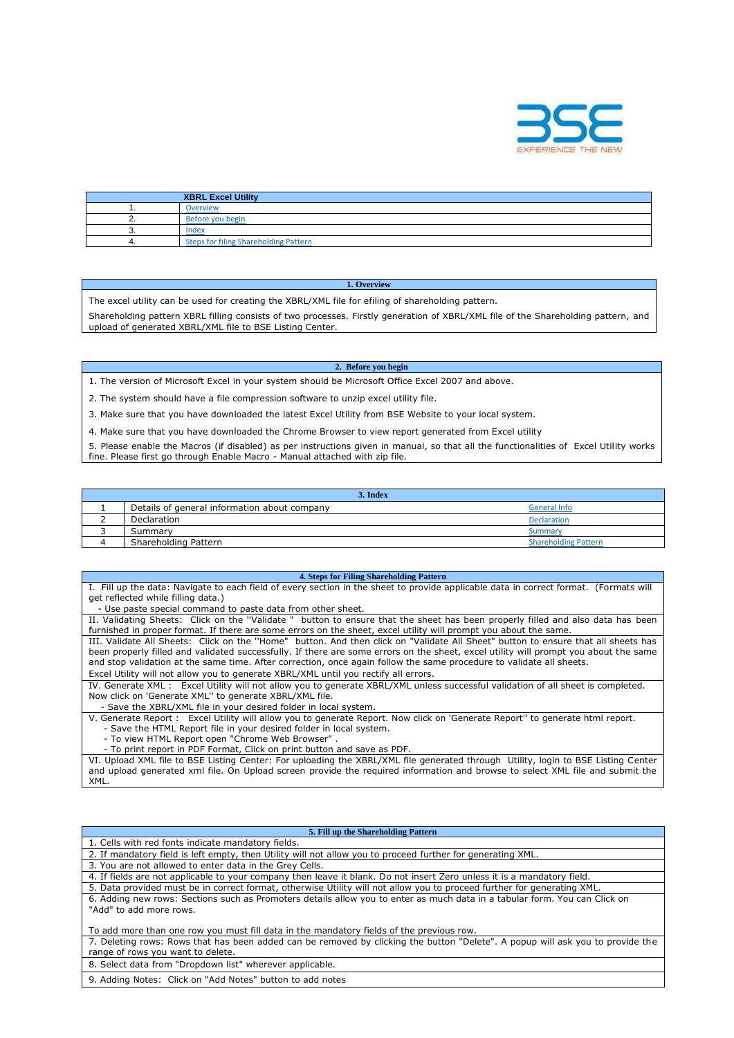

|    | <b>XBRL Excel Utility</b>             |
|----|---------------------------------------|
|    | Overview                              |
|    | Before you begin                      |
| J. | Index                                 |
|    | Steps for filing Shareholding Pattern |

## **1. Overview**

The excel utility can be used for creating the XBRL/XML file for efiling of shareholding pattern.

Shareholding pattern XBRL filling consists of two processes. Firstly generation of XBRL/XML file of the Shareholding pattern, and upload of generated XBRL/XML file to BSE Listing Center.

## **2. Before you begin**

- 1. The version of Microsoft Excel in your system should be Microsoft Office Excel 2007 and above.
- 2. The system should have a file compression software to unzip excel utility file.
- 3. Make sure that you have downloaded the latest Excel Utility from BSE Website to your local system.
- 4. Make sure that you have downloaded the Chrome Browser to view report generated from Excel utility

5. Please enable the Macros (if disabled) as per instructions given in manual, so that all the functionalities of Excel Utility works fine. Please first go through Enable Macro - Manual attached with zip file.

| 3. Index |                                              |                             |  |  |  |  |  |  |  |  |  |
|----------|----------------------------------------------|-----------------------------|--|--|--|--|--|--|--|--|--|
|          | Details of general information about company | <b>General Info</b>         |  |  |  |  |  |  |  |  |  |
|          | Declaration                                  | <b>Declaration</b>          |  |  |  |  |  |  |  |  |  |
|          | Summary                                      | Summary                     |  |  |  |  |  |  |  |  |  |
|          | Shareholding Pattern                         | <b>Shareholding Pattern</b> |  |  |  |  |  |  |  |  |  |

## **4. Steps for Filing Shareholding Pattern**

I. Fill up the data: Navigate to each field of every section in the sheet to provide applicable data in correct format. (Formats will get reflected while filling data.)

- Use paste special command to paste data from other sheet.

II. Validating Sheets: Click on the ''Validate " button to ensure that the sheet has been properly filled and also data has been furnished in proper format. If there are some errors on the sheet, excel utility will prompt you about the same. III. Validate All Sheets: Click on the ''Home" button. And then click on "Validate All Sheet" button to ensure that all sheets has

been properly filled and validated successfully. If there are some errors on the sheet, excel utility will prompt you about the same and stop validation at the same time. After correction, once again follow the same procedure to validate all sheets.

Excel Utility will not allow you to generate XBRL/XML until you rectify all errors.

IV. Generate XML : Excel Utility will not allow you to generate XBRL/XML unless successful validation of all sheet is completed. Now click on 'Generate XML'' to generate XBRL/XML file.

- Save the XBRL/XML file in your desired folder in local system.

V. Generate Report : Excel Utility will allow you to generate Report. Now click on 'Generate Report'' to generate html report. - Save the HTML Report file in your desired folder in local system.

- To view HTML Report open "Chrome Web Browser" .

- To print report in PDF Format, Click on print button and save as PDF.

VI. Upload XML file to BSE Listing Center: For uploading the XBRL/XML file generated through Utility, login to BSE Listing Center and upload generated xml file. On Upload screen provide the required information and browse to select XML file and submit the XML.

## **5. Fill up the Shareholding Pattern**

| 1. Cells with red fonts indicate mandatory fields.                                                                                                                 |
|--------------------------------------------------------------------------------------------------------------------------------------------------------------------|
| 2. If mandatory field is left empty, then Utility will not allow you to proceed further for generating XML.                                                        |
| 3. You are not allowed to enter data in the Grey Cells.                                                                                                            |
| 4. If fields are not applicable to your company then leave it blank. Do not insert Zero unless it is a mandatory field.                                            |
| 5. Data provided must be in correct format, otherwise Utility will not allow you to proceed further for generating XML.                                            |
| 6. Adding new rows: Sections such as Promoters details allow you to enter as much data in a tabular form. You can Click on<br>"Add" to add more rows.              |
| To add more than one row you must fill data in the mandatory fields of the previous row.                                                                           |
| 7. Deleting rows: Rows that has been added can be removed by clicking the button "Delete". A popup will ask you to provide the<br>range of rows you want to delete |

range of rows you want to delete.

8. Select data from "Dropdown list" wherever applicable.

9. Adding Notes: Click on "Add Notes" button to add notes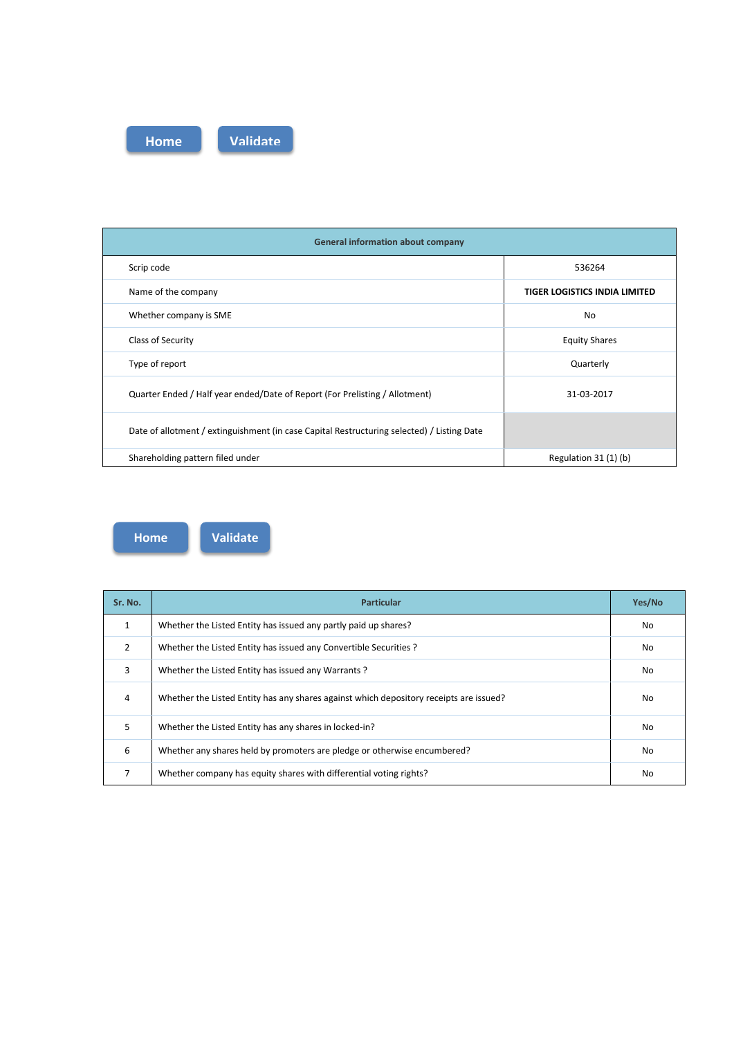

| <b>General information about company</b>                                                   |                                      |
|--------------------------------------------------------------------------------------------|--------------------------------------|
| Scrip code                                                                                 | 536264                               |
| Name of the company                                                                        | <b>TIGER LOGISTICS INDIA LIMITED</b> |
| Whether company is SME                                                                     | No                                   |
| Class of Security                                                                          | <b>Equity Shares</b>                 |
| Type of report                                                                             | Quarterly                            |
| Quarter Ended / Half year ended/Date of Report (For Prelisting / Allotment)                | 31-03-2017                           |
| Date of allotment / extinguishment (in case Capital Restructuring selected) / Listing Date |                                      |
| Shareholding pattern filed under                                                           | Regulation 31 (1) (b)                |

**Home Validate**

| Sr. No. | <b>Particular</b>                                                                      | Yes/No |
|---------|----------------------------------------------------------------------------------------|--------|
|         | Whether the Listed Entity has issued any partly paid up shares?                        | No.    |
| 2       | Whether the Listed Entity has issued any Convertible Securities ?                      | No     |
| 3       | Whether the Listed Entity has issued any Warrants?                                     | No     |
| 4       | Whether the Listed Entity has any shares against which depository receipts are issued? | No.    |
| 5       | Whether the Listed Entity has any shares in locked-in?                                 | No     |
| 6       | Whether any shares held by promoters are pledge or otherwise encumbered?               | No     |
| 7       | Whether company has equity shares with differential voting rights?                     | No     |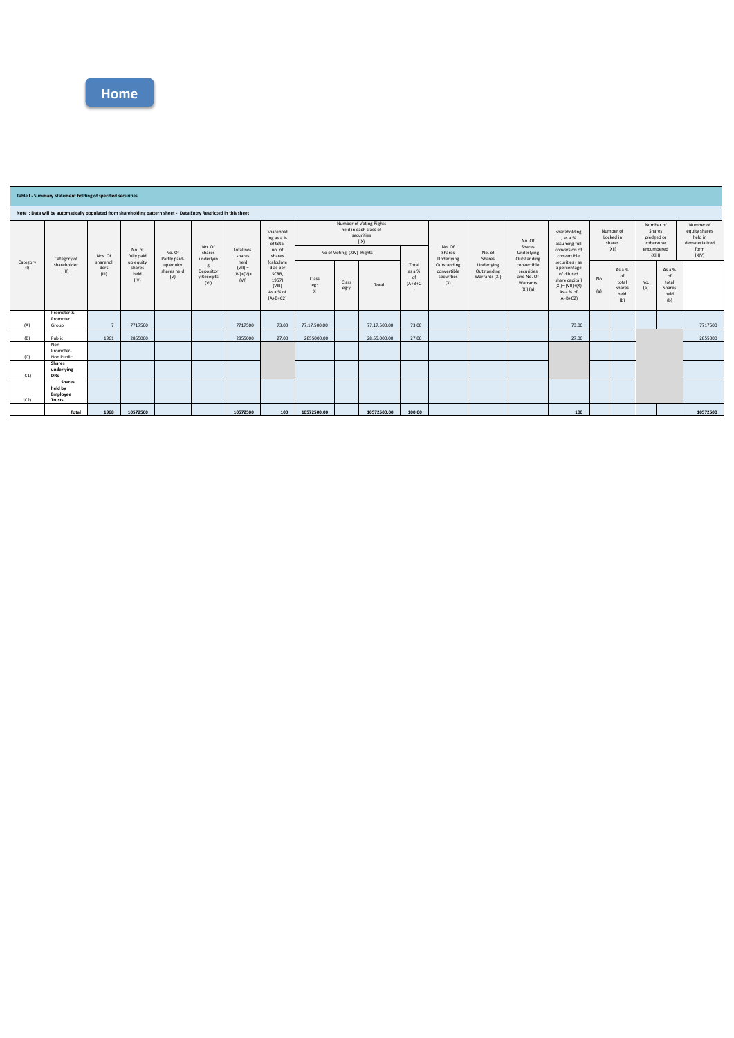

|                                                                                                                  | Table I - Summary Statement holding of specified securities |                           |                                     |                                 |                                 |                                          |                                                                                                           |                                           |                                                                        |              |                                    |                                                 |                                            |                                                                   |                                                                                                                 |                                  |                                                |                                                |                                                |                                                         |
|------------------------------------------------------------------------------------------------------------------|-------------------------------------------------------------|---------------------------|-------------------------------------|---------------------------------|---------------------------------|------------------------------------------|-----------------------------------------------------------------------------------------------------------|-------------------------------------------|------------------------------------------------------------------------|--------------|------------------------------------|-------------------------------------------------|--------------------------------------------|-------------------------------------------------------------------|-----------------------------------------------------------------------------------------------------------------|----------------------------------|------------------------------------------------|------------------------------------------------|------------------------------------------------|---------------------------------------------------------|
| Note: Data will be automatically populated from shareholding pattern sheet - Data Entry Restricted in this sheet |                                                             |                           |                                     |                                 |                                 |                                          |                                                                                                           |                                           |                                                                        |              |                                    |                                                 |                                            |                                                                   |                                                                                                                 |                                  |                                                |                                                |                                                |                                                         |
|                                                                                                                  |                                                             |                           |                                     |                                 |                                 | No. Of                                   |                                                                                                           | Sharehold<br>ing as a %<br>of total       | Number of Voting Rights<br>held in each class of<br>securities<br>(IX) |              |                                    | No. Of<br>Shares<br>Underlying                  | No. of<br>Shares                           | No. Of<br>Shares<br>Underlying<br>Outstanding                     | Shareholding<br>, as a %<br>assuming full<br>conversion of<br>convertible                                       | Number of<br>Locked in<br>shares |                                                | Number of<br>Shares<br>pledged or<br>otherwise |                                                | Number of<br>equity shares<br>held in<br>dematerialized |
|                                                                                                                  | Category of                                                 | Nos. Of                   | No. of<br>fully paid                | No. Of<br>Partly paid-          | shares<br>underlyin             | Total nos.<br>shares                     | no. of<br>shares<br><i>(calculate)</i><br>d as per<br>SCRR,<br>1957)<br>(VIII)<br>As a % of<br>$(A+B+C2)$ | No of Voting (XIV) Rights                 |                                                                        |              |                                    |                                                 |                                            |                                                                   |                                                                                                                 | (X  )                            |                                                | encumbered<br>(XIII)                           |                                                | form<br>(XIV)                                           |
| Category<br>(1)                                                                                                  | shareholder<br>(11)                                         | sharehol<br>ders<br>(III) | up equity<br>shares<br>held<br>(IV) | up equity<br>shares held<br>(V) | Depositor<br>v Receipts<br>(VI) | held<br>$(VII) =$<br>$(IV)+(V)+$<br>(VI) |                                                                                                           | Class<br>eg:<br>$\boldsymbol{\mathsf{x}}$ | Class<br>eg:y                                                          | Total        | Total<br>as a %<br>of<br>$(A+B+C)$ | Outstanding<br>convertible<br>securities<br>(X) | Underlying<br>Outstanding<br>Warrants (Xi) | convertible<br>securities<br>and No. Of<br>Warrants<br>$(Xi)$ (a) | securities (as<br>a percentage<br>of diluted<br>share capital)<br>$(XI) = (VII)+(X)$<br>As a % of<br>$(A+B+C2)$ | No<br>(a)                        | As a %<br>of<br>total<br>Shares<br>held<br>(b) | No.<br>(a)                                     | As a %<br>of<br>total<br>Shares<br>held<br>(b) |                                                         |
| (A)                                                                                                              | Promoter &<br>Promoter<br>Group                             | 7                         | 7717500                             |                                 |                                 | 7717500                                  | 73.00                                                                                                     | 77,17,500.00                              |                                                                        | 77.17.500.00 | 73.00                              |                                                 |                                            |                                                                   | 73.00                                                                                                           |                                  |                                                |                                                |                                                | 7717500                                                 |
| (B)                                                                                                              | Public                                                      | 1961                      | 2855000                             |                                 |                                 | 2855000                                  | 27.00                                                                                                     | 2855000.00                                |                                                                        | 28.55.000.00 | 27.00                              |                                                 |                                            |                                                                   | 27.00                                                                                                           |                                  |                                                |                                                |                                                | 2855000                                                 |
| (C)                                                                                                              | Non<br>Promoter-<br>Non Public                              |                           |                                     |                                 |                                 |                                          |                                                                                                           |                                           |                                                                        |              |                                    |                                                 |                                            |                                                                   |                                                                                                                 |                                  |                                                |                                                |                                                |                                                         |
| (C1)                                                                                                             | Shares<br>underlying<br><b>DRs</b>                          |                           |                                     |                                 |                                 |                                          |                                                                                                           |                                           |                                                                        |              |                                    |                                                 |                                            |                                                                   |                                                                                                                 |                                  |                                                |                                                |                                                |                                                         |
| (C2)                                                                                                             | Shares<br>held by<br>Employee<br><b>Trusts</b>              |                           |                                     |                                 |                                 |                                          |                                                                                                           |                                           |                                                                        |              |                                    |                                                 |                                            |                                                                   |                                                                                                                 |                                  |                                                |                                                |                                                |                                                         |
|                                                                                                                  | Total                                                       | 1968                      | 10572500                            |                                 |                                 | 10572500                                 | 100                                                                                                       | 10572500.00                               |                                                                        | 10572500.00  | 100.00                             |                                                 |                                            |                                                                   | 100                                                                                                             |                                  |                                                |                                                |                                                | 10572500                                                |